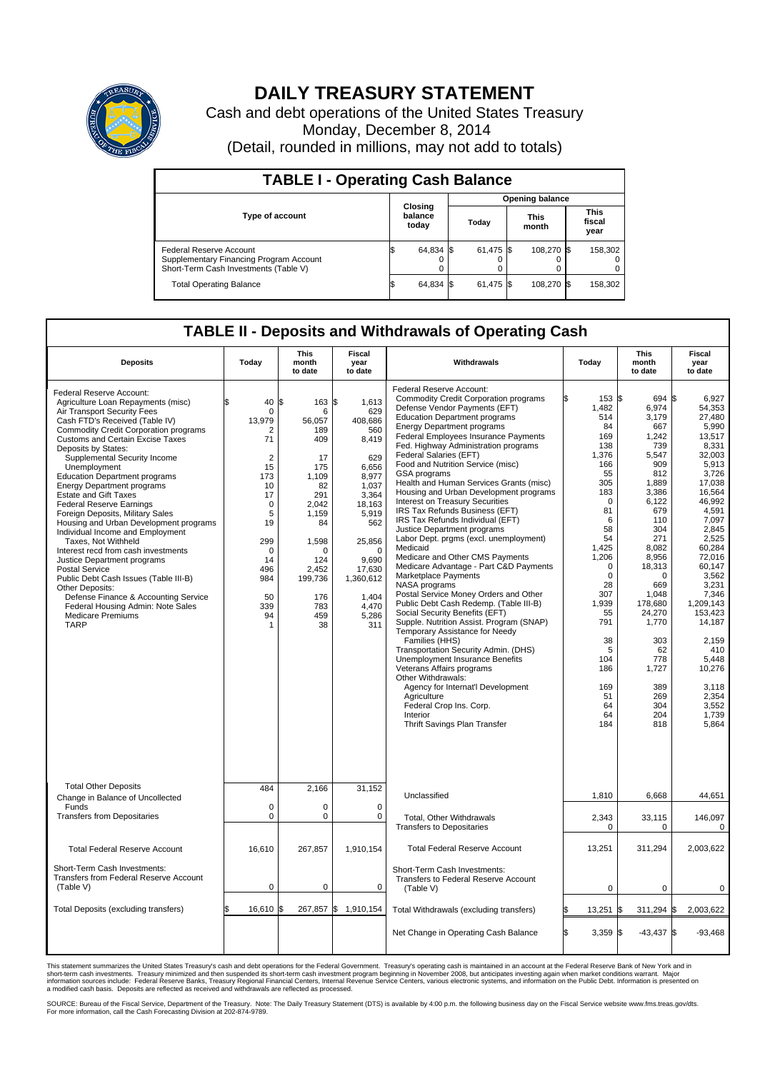

## **DAILY TREASURY STATEMENT**

Cash and debt operations of the United States Treasury Monday, December 8, 2014 (Detail, rounded in millions, may not add to totals)

| <b>TABLE I - Operating Cash Balance</b>                                                                     |  |                             |  |                        |  |                      |  |                               |  |
|-------------------------------------------------------------------------------------------------------------|--|-----------------------------|--|------------------------|--|----------------------|--|-------------------------------|--|
|                                                                                                             |  |                             |  | <b>Opening balance</b> |  |                      |  |                               |  |
| <b>Type of account</b>                                                                                      |  | Closing<br>balance<br>today |  | Today                  |  | <b>This</b><br>month |  | <b>This</b><br>fiscal<br>year |  |
| Federal Reserve Account<br>Supplementary Financing Program Account<br>Short-Term Cash Investments (Table V) |  | 64,834 \$                   |  | 61,475 \$              |  | 108.270 \$           |  | 158,302                       |  |
| <b>Total Operating Balance</b>                                                                              |  | 64,834 \$                   |  | 61,475 \$              |  | 108,270 \$           |  | 158,302                       |  |

## **TABLE II - Deposits and Withdrawals of Operating Cash**

| <b>Deposits</b>                                                                                                                                                                                                                                                                                                                                                                                                                                                                                                                                                                                                                                                                                                                                                                                                                                                        | Today                                                                                                                                                                               | <b>This</b><br>month<br>to date                                                                                                                                           | <b>Fiscal</b><br>year<br>to date                                                                                                                                                                        | Withdrawals                                                                                                                                                                                                                                                                                                                                                                                                                                                                                                                                                                                                                                                                                                                                                                                                                                                                                                                                                                                                                                                                                                                                                                                                                                                | Today                                                                                                                                                                                                                                                                 | <b>This</b><br>month<br>to date                                                                                                                                                                                                                                              | <b>Fiscal</b><br>year<br>to date                                                                                                                                                                                                                                                                                               |
|------------------------------------------------------------------------------------------------------------------------------------------------------------------------------------------------------------------------------------------------------------------------------------------------------------------------------------------------------------------------------------------------------------------------------------------------------------------------------------------------------------------------------------------------------------------------------------------------------------------------------------------------------------------------------------------------------------------------------------------------------------------------------------------------------------------------------------------------------------------------|-------------------------------------------------------------------------------------------------------------------------------------------------------------------------------------|---------------------------------------------------------------------------------------------------------------------------------------------------------------------------|---------------------------------------------------------------------------------------------------------------------------------------------------------------------------------------------------------|------------------------------------------------------------------------------------------------------------------------------------------------------------------------------------------------------------------------------------------------------------------------------------------------------------------------------------------------------------------------------------------------------------------------------------------------------------------------------------------------------------------------------------------------------------------------------------------------------------------------------------------------------------------------------------------------------------------------------------------------------------------------------------------------------------------------------------------------------------------------------------------------------------------------------------------------------------------------------------------------------------------------------------------------------------------------------------------------------------------------------------------------------------------------------------------------------------------------------------------------------------|-----------------------------------------------------------------------------------------------------------------------------------------------------------------------------------------------------------------------------------------------------------------------|------------------------------------------------------------------------------------------------------------------------------------------------------------------------------------------------------------------------------------------------------------------------------|--------------------------------------------------------------------------------------------------------------------------------------------------------------------------------------------------------------------------------------------------------------------------------------------------------------------------------|
| Federal Reserve Account:<br>Agriculture Loan Repayments (misc)<br>Air Transport Security Fees<br>Cash FTD's Received (Table IV)<br><b>Commodity Credit Corporation programs</b><br><b>Customs and Certain Excise Taxes</b><br>Deposits by States:<br>Supplemental Security Income<br>Unemployment<br><b>Education Department programs</b><br><b>Energy Department programs</b><br><b>Estate and Gift Taxes</b><br><b>Federal Reserve Earnings</b><br>Foreign Deposits, Military Sales<br>Housing and Urban Development programs<br>Individual Income and Employment<br>Taxes. Not Withheld<br>Interest recd from cash investments<br>Justice Department programs<br>Postal Service<br>Public Debt Cash Issues (Table III-B)<br>Other Deposits:<br>Defense Finance & Accounting Service<br>Federal Housing Admin: Note Sales<br><b>Medicare Premiums</b><br><b>TARP</b> | \$<br>40<br>$\mathbf 0$<br>13,979<br>2<br>71<br>$\overline{2}$<br>15<br>173<br>10<br>17<br>$\mathbf 0$<br>5<br>19<br>299<br>$\mathbf 0$<br>14<br>496<br>984<br>50<br>339<br>94<br>1 | l\$<br>163 \$<br>6<br>56,057<br>189<br>409<br>17<br>175<br>1,109<br>82<br>291<br>2.042<br>1,159<br>84<br>1,598<br>0<br>124<br>2,452<br>199,736<br>176<br>783<br>459<br>38 | 1.613<br>629<br>408,686<br>560<br>8,419<br>629<br>6.656<br>8,977<br>1.037<br>3,364<br>18,163<br>5,919<br>562<br>25,856<br>$\mathbf 0$<br>9,690<br>17,630<br>1,360,612<br>1,404<br>4.470<br>5,286<br>311 | Federal Reserve Account:<br><b>Commodity Credit Corporation programs</b><br>Defense Vendor Payments (EFT)<br><b>Education Department programs</b><br><b>Energy Department programs</b><br><b>Federal Employees Insurance Payments</b><br>Fed. Highway Administration programs<br>Federal Salaries (EFT)<br>Food and Nutrition Service (misc)<br><b>GSA</b> programs<br>Health and Human Services Grants (misc)<br>Housing and Urban Development programs<br>Interest on Treasury Securities<br>IRS Tax Refunds Business (EFT)<br>IRS Tax Refunds Individual (EFT)<br>Justice Department programs<br>Labor Dept. prgms (excl. unemployment)<br>Medicaid<br>Medicare and Other CMS Payments<br>Medicare Advantage - Part C&D Payments<br>Marketplace Payments<br>NASA programs<br>Postal Service Money Orders and Other<br>Public Debt Cash Redemp. (Table III-B)<br>Social Security Benefits (EFT)<br>Supple. Nutrition Assist. Program (SNAP)<br>Temporary Assistance for Needy<br>Families (HHS)<br>Transportation Security Admin. (DHS)<br>Unemployment Insurance Benefits<br>Veterans Affairs programs<br>Other Withdrawals:<br>Agency for Internat'l Development<br>Agriculture<br>Federal Crop Ins. Corp.<br>Interior<br>Thrift Savings Plan Transfer | 153 \$<br>ß<br>1,482<br>514<br>84<br>169<br>138<br>1,376<br>166<br>55<br>305<br>183<br>$\mathbf 0$<br>81<br>6<br>58<br>54<br>1,425<br>1,206<br>$\mathbf 0$<br>$\mathbf 0$<br>28<br>307<br>1,939<br>55<br>791<br>38<br>5<br>104<br>186<br>169<br>51<br>64<br>64<br>184 | 694 \$<br>6,974<br>3,179<br>667<br>1,242<br>739<br>5,547<br>909<br>812<br>1,889<br>3.386<br>6,122<br>679<br>110<br>304<br>271<br>8.082<br>8,956<br>18,313<br>0<br>669<br>1,048<br>178,680<br>24,270<br>1,770<br>303<br>62<br>778<br>1,727<br>389<br>269<br>304<br>204<br>818 | 6,927<br>54,353<br>27.480<br>5,990<br>13,517<br>8,331<br>32,003<br>5,913<br>3.726<br>17,038<br>16,564<br>46,992<br>4.591<br>7,097<br>2.845<br>2,525<br>60.284<br>72,016<br>60,147<br>3,562<br>3,231<br>7,346<br>1,209,143<br>153.423<br>14,187<br>2,159<br>410<br>5,448<br>10,276<br>3,118<br>2,354<br>3,552<br>1,739<br>5,864 |
| <b>Total Other Deposits</b><br>Change in Balance of Uncollected                                                                                                                                                                                                                                                                                                                                                                                                                                                                                                                                                                                                                                                                                                                                                                                                        | 484                                                                                                                                                                                 | 2.166                                                                                                                                                                     | 31.152                                                                                                                                                                                                  | Unclassified                                                                                                                                                                                                                                                                                                                                                                                                                                                                                                                                                                                                                                                                                                                                                                                                                                                                                                                                                                                                                                                                                                                                                                                                                                               | 1,810                                                                                                                                                                                                                                                                 | 6,668                                                                                                                                                                                                                                                                        | 44,651                                                                                                                                                                                                                                                                                                                         |
| Funds<br><b>Transfers from Depositaries</b>                                                                                                                                                                                                                                                                                                                                                                                                                                                                                                                                                                                                                                                                                                                                                                                                                            | $\mathbf 0$<br>$\pmb{0}$                                                                                                                                                            | 0<br>0                                                                                                                                                                    | $\mathbf 0$<br>0                                                                                                                                                                                        | Total, Other Withdrawals<br><b>Transfers to Depositaries</b>                                                                                                                                                                                                                                                                                                                                                                                                                                                                                                                                                                                                                                                                                                                                                                                                                                                                                                                                                                                                                                                                                                                                                                                               | 2,343<br>$\mathbf 0$                                                                                                                                                                                                                                                  | 33,115<br>$\mathbf 0$                                                                                                                                                                                                                                                        | 146,097<br>$\mathbf 0$                                                                                                                                                                                                                                                                                                         |
| <b>Total Federal Reserve Account</b>                                                                                                                                                                                                                                                                                                                                                                                                                                                                                                                                                                                                                                                                                                                                                                                                                                   | 16,610                                                                                                                                                                              | 267,857                                                                                                                                                                   | 1,910,154                                                                                                                                                                                               | <b>Total Federal Reserve Account</b>                                                                                                                                                                                                                                                                                                                                                                                                                                                                                                                                                                                                                                                                                                                                                                                                                                                                                                                                                                                                                                                                                                                                                                                                                       | 13,251                                                                                                                                                                                                                                                                | 311,294                                                                                                                                                                                                                                                                      | 2,003,622                                                                                                                                                                                                                                                                                                                      |
| Short-Term Cash Investments:<br>Transfers from Federal Reserve Account<br>(Table V)                                                                                                                                                                                                                                                                                                                                                                                                                                                                                                                                                                                                                                                                                                                                                                                    | $\pmb{0}$                                                                                                                                                                           | 0                                                                                                                                                                         | 0                                                                                                                                                                                                       | Short-Term Cash Investments:<br>Transfers to Federal Reserve Account<br>(Table V)                                                                                                                                                                                                                                                                                                                                                                                                                                                                                                                                                                                                                                                                                                                                                                                                                                                                                                                                                                                                                                                                                                                                                                          | 0                                                                                                                                                                                                                                                                     | 0                                                                                                                                                                                                                                                                            | 0                                                                                                                                                                                                                                                                                                                              |
| Total Deposits (excluding transfers)                                                                                                                                                                                                                                                                                                                                                                                                                                                                                                                                                                                                                                                                                                                                                                                                                                   | 16,610<br>\$                                                                                                                                                                        | l\$                                                                                                                                                                       | 267,857 \$ 1,910,154                                                                                                                                                                                    | Total Withdrawals (excluding transfers)                                                                                                                                                                                                                                                                                                                                                                                                                                                                                                                                                                                                                                                                                                                                                                                                                                                                                                                                                                                                                                                                                                                                                                                                                    | 13,251                                                                                                                                                                                                                                                                | $311,294$ \$<br>1\$                                                                                                                                                                                                                                                          | 2,003,622                                                                                                                                                                                                                                                                                                                      |
|                                                                                                                                                                                                                                                                                                                                                                                                                                                                                                                                                                                                                                                                                                                                                                                                                                                                        |                                                                                                                                                                                     |                                                                                                                                                                           |                                                                                                                                                                                                         | Net Change in Operating Cash Balance                                                                                                                                                                                                                                                                                                                                                                                                                                                                                                                                                                                                                                                                                                                                                                                                                                                                                                                                                                                                                                                                                                                                                                                                                       | l\$<br>$3,359$ \$                                                                                                                                                                                                                                                     | $-43,437$ \$                                                                                                                                                                                                                                                                 | $-93,468$                                                                                                                                                                                                                                                                                                                      |

This statement summarizes the United States Treasury's cash and debt operations for the Federal Government. Treasury's operating cash is maintained in an account at the Federal Reserve Bank of New York and in<br>short-term ca

SOURCE: Bureau of the Fiscal Service, Department of the Treasury. Note: The Daily Treasury Statement (DTS) is available by 4:00 p.m. the following business day on the Fiscal Service website www.fms.treas.gov/dts.<br>For more